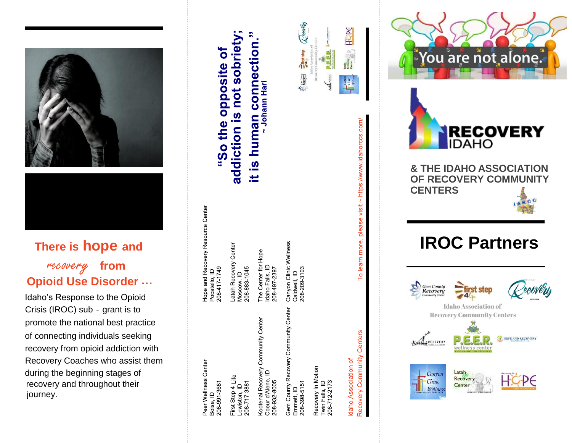

# **There is hope and**

## recovery **from Opioid Use Disorder …**

Idaho's Response to the Opioid Crisis (IROC) sub - grant is to promote the national best practice of connecting individuals seeking recovery from opioid addiction with Recovery Coaches who assist them during the beginning stages of recovery and throughout their journey.

Peer Wellness Center Boise, ID<br>208-991-3681

Hope and Recovery Resource Center

Pocatello, ID<br>208-417-1749

Latah Recovery Center

Moscow, ID<br>208-883-1045

First Step 4 Life<br>Lewiston, ID<br>208-717-3881

Kootenai Recovery Community Center<br>Coeur d'Alene, ID<br>208-932-8005

The Center for Hope<br>Idaho Falls, ID<br>208497-2397

**1an connection**<br>~ Johann Hari

human

<u>ဖ</u> Ξ  $\frac{1}{2}$   $\frac{1}{2}$   $\frac{1}{2}$   $\frac{1}{2}$   $\frac{1}{2}$   $\frac{1}{2}$   $\frac{1}{2}$   $\frac{1}{2}$   $\frac{1}{2}$   $\frac{1}{2}$   $\frac{1}{2}$   $\frac{1}{2}$   $\frac{1}{2}$   $\frac{1}{2}$   $\frac{1}{2}$   $\frac{1}{2}$   $\frac{1}{2}$   $\frac{1}{2}$   $\frac{1}{2}$   $\frac{1}{2}$   $\frac{1}{2}$   $\frac{1}{2}$ 

 $\sum_{\text{Recovery}}$ 

addiction is not sobriet

 $\overline{\mathbf{o}}$ 

"So the opposite

Gem County Recovery Community Center<br>Emmett, ID 208 398 5151

Canyon Clinic Wellness

Caldwell, ID<br>208-209-3103

Recovery In Motion<br>Twin Falls, ID<br>208-712-2173

Centers Recovery Community Idaho Association of

To learn more,